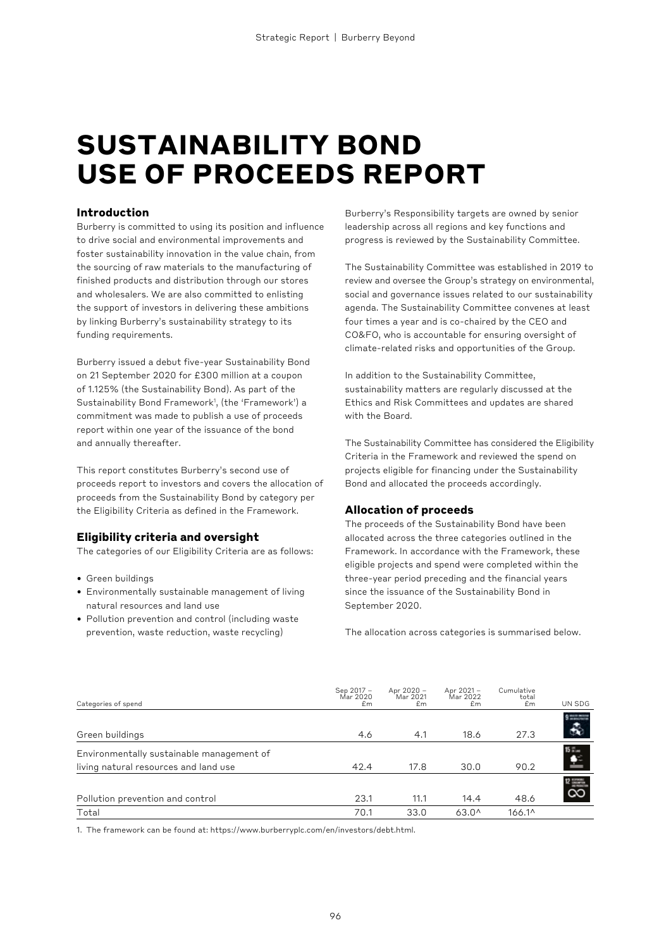# **SUSTAINABILITY BOND USE OF PROCEEDS REPORT**

### **Introduction**

Burberry is committed to using its position and influence to drive social and environmental improvements and foster sustainability innovation in the value chain, from the sourcing of raw materials to the manufacturing of finished products and distribution through our stores and wholesalers. We are also committed to enlisting the support of investors in delivering these ambitions by linking Burberry's sustainability strategy to its funding requirements.

Burberry issued a debut five-year Sustainability Bond on 21 September 2020 for £300 million at a coupon of 1.125% (the Sustainability Bond). As part of the Sustainability Bond Framework1 , (the 'Framework') a commitment was made to publish a use of proceeds report within one year of the issuance of the bond and annually thereafter.

This report constitutes Burberry's second use of proceeds report to investors and covers the allocation of proceeds from the Sustainability Bond by category per the Eligibility Criteria as defined in the Framework.

### **Eligibility criteria and oversight**

The categories of our Eligibility Criteria are as follows:

- Green buildings
- Environmentally sustainable management of living natural resources and land use
- Pollution prevention and control (including waste prevention, waste reduction, waste recycling)

Burberry's Responsibility targets are owned by senior leadership across all regions and key functions and progress is reviewed by the Sustainability Committee.

The Sustainability Committee was established in 2019 to review and oversee the Group's strategy on environmental, social and governance issues related to our sustainability agenda. The Sustainability Committee convenes at least four times a year and is co-chaired by the CEO and CO&FO, who is accountable for ensuring oversight of climate-related risks and opportunities of the Group.

In addition to the Sustainability Committee, sustainability matters are regularly discussed at the Ethics and Risk Committees and updates are shared with the Board.

The Sustainability Committee has considered the Eligibility Criteria in the Framework and reviewed the spend on projects eligible for financing under the Sustainability Bond and allocated the proceeds accordingly.

### **Allocation of proceeds**

The proceeds of the Sustainability Bond have been allocated across the three categories outlined in the Framework. In accordance with the Framework, these eligible projects and spend were completed within the three-year period preceding and the financial years since the issuance of the Sustainability Bond in September 2020.

The allocation across categories is summarised below.

| Categories of spend                                                                | Sep 2017 -<br>Mar 2020<br>£m | Apr 2020 -<br>Mar 2021<br>Em | Apr 2021 -<br>Mar 2022<br>Em | Cumulative<br>total<br>Em | UN SDG                 |
|------------------------------------------------------------------------------------|------------------------------|------------------------------|------------------------------|---------------------------|------------------------|
| Green buildings                                                                    | 4.6                          | 4.1                          | 18.6                         | 27.3                      | $9 - 7$<br>$\clubsuit$ |
| Environmentally sustainable management of<br>living natural resources and land use | 42.4                         | 17.8                         | 30.0                         | 90.2                      | 15m<br>£               |
| Pollution prevention and control                                                   | 23.1                         | 11.1                         | 14.4                         | 48.6                      | $\frac{1}{8}$          |
| Total                                                                              | 70.1                         | 33.0                         | $63.0^{\circ}$               | 166.1^                    |                        |

1. The framework can be found at: https://www.burberryplc.com/en/investors/debt.html.